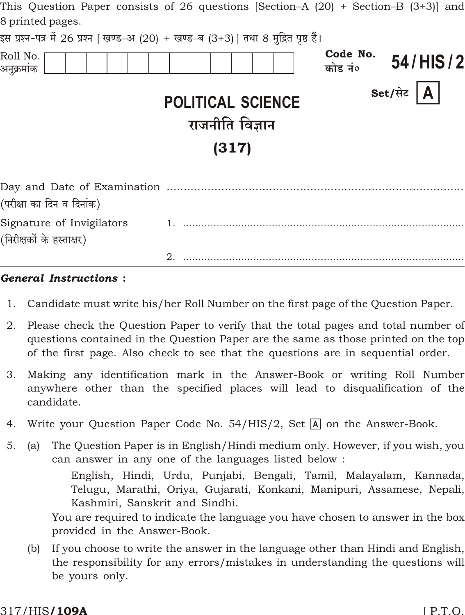| This Question Paper consists of 26 questions $ Section-A (20) + Section-B (3+3) $ and |                                                      |                     |                  |
|---------------------------------------------------------------------------------------|------------------------------------------------------|---------------------|------------------|
| 8 printed pages.                                                                      |                                                      |                     |                  |
| इस प्रश्न-पत्र में 26 प्रश्न [ खण्ड–अ (20) + खण्ड–ब (3+3)] तथा 8 मुद्रित पृष्ठ हैं।   |                                                      |                     |                  |
| Roll No.<br>अनुक्रमांक                                                                |                                                      | Code No.<br>कोड नं० | 54/HIS/2         |
|                                                                                       | <b>POLITICAL SCIENCE</b><br>राजनीति विज्ञान<br>(317) |                     | Set/सेट $\bm{A}$ |
|                                                                                       |                                                      |                     |                  |
| (परीक्षा का दिन व दिनांक)                                                             |                                                      |                     |                  |
| Signature of Invigilators                                                             |                                                      |                     |                  |
| (निरीक्षकों के हस्ताक्षर)                                                             |                                                      |                     |                  |

#### **General Instructions:**

1. Candidate must write his/her Roll Number on the first page of the Question Paper.

- 2. Please check the Question Paper to verify that the total pages and total number of questions contained in the Question Paper are the same as those printed on the top of the first page. Also check to see that the questions are in sequential order.
- 3. Making any identification mark in the Answer-Book or writing Roll Number anywhere other than the specified places will lead to disqualification of the candidate.
- Write your Question Paper Code No. 54/HIS/2, Set  $\overline{A}$  on the Answer-Book. 4.
- $5<sub>1</sub>$ The Question Paper is in English/Hindi medium only. However, if you wish, you  $(a)$ can answer in any one of the languages listed below:

English, Hindi, Urdu, Punjabi, Bengali, Tamil, Malayalam, Kannada, Telugu, Marathi, Oriya, Gujarati, Konkani, Manipuri, Assamese, Nepali, Kashmiri, Sanskrit and Sindhi.

You are required to indicate the language you have chosen to answer in the box provided in the Answer-Book.

If you choose to write the answer in the language other than Hindi and English,  $(b)$ the responsibility for any errors/mistakes in understanding the questions will be yours only.

#### 317/HIS**/109A**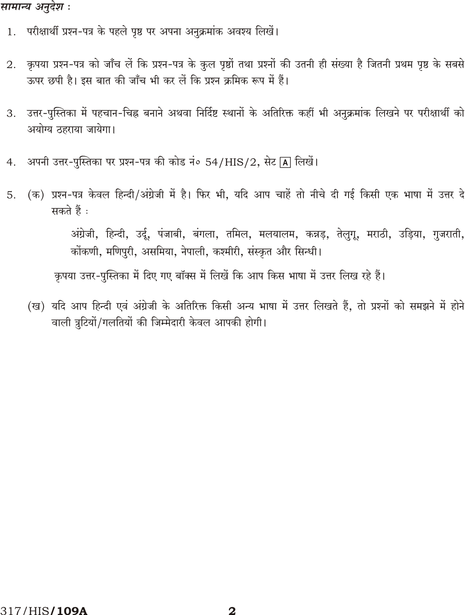## सामान्य अनुदेश :

- 1. परीक्षार्थी प्रश्न-पत्र के पहले पृष्ठ पर अपना अनुक्रमांक अवश्य लिखें।
- कृपया प्रश्न-पत्र को जाँच लें कि प्रश्न-पत्र के कुल पृष्ठों तथा प्रश्नों की उतनी ही संख्या है जितनी प्रथम पृष्ठ के सबसे 2. ऊपर छपी है। इस बात की जाँच भी कर लें कि प्रश्न क्रमिक रूप में हैं।
- उत्तर-पुस्तिका में पहचान-चिह्न बनाने अथवा निर्दिष्ट स्थानों के अतिरिक्त कहीं भी अनुक्रमांक लिखने पर परीक्षार्थी को 3. अयोग्य ठहराया जायेगा।
- अपनी उत्तर-पुस्तिका पर प्रश्न-पत्र की कोड नं० 54/HIS/2, सेट [A] लिखें।  $4.$
- (क) प्रश्न-पत्र केवल हिन्दी/अंग्रेजी में है। फिर भी, यदि आप चाहें तो नीचे दी गई किसी एक भाषा में उत्तर दे 5. सकते हैं :

अंग्रेजी, हिन्दी, उर्दू, पंजाबी, बंगला, तमिल, मलयालम, कन्नड़, तेलुगू, मराठी, उड़िया, गुजराती, कोंकणी, मणिपुरी, असमिया, नेपाली, कश्मीरी, संस्कृत और सिन्धी।

कृपया उत्तर-पुस्तिका में दिए गए बॉक्स में लिखें कि आप किस भाषा में उत्तर लिख रहे हैं।

(ख) यदि आप हिन्दी एवं अंग्रेजी के अतिरिक्त किसी अन्य भाषा में उत्तर लिखते हैं, तो प्रश्नों को समझने में होने वाली त्रुटियों/गलतियों की जिम्मेदारी केवल आपकी होगी।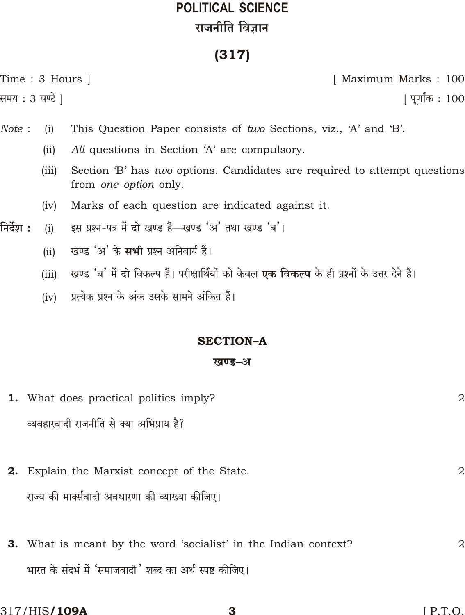# **POLITICAL SCIENCE** राजनीति विज्ञान

## $(317)$

Time: 3 Hours | समय : 3 घण्टे ]

[ Maximum Marks: 100

[ पूर्णांक : 100

- This Question Paper consists of two Sections, viz., 'A' and 'B'. Note :  $(i)$ 
	- $(ii)$ All questions in Section 'A' are compulsory.
	- Section 'B' has two options. Candidates are required to attempt questions  $(iii)$ from one option only.
	- Marks of each question are indicated against it.  $(iv)$
- इस प्रश्न-पत्र में दो खण्ड हैं-खण्ड 'अ' तथा खण्ड 'ब'। निर्देश :  $(i)$ 
	- खण्ड 'अ' के सभी प्रश्न अनिवार्य हैं।  $(ii)$
	- खण्ड 'ब' में दो विकल्प हैं। परीक्षार्थियों को केवल **एक विकल्प** के ही प्रश्नों के उत्तर देने हैं।  $(iii)$
	- प्रत्येक प्रश्न के अंक उसके सामने अंकित हैं।  $(iv)$

## **SECTION-A**

### खण्ड-अ

- **1.** What does practical politics imply?  $\overline{2}$ व्यवहारवादी राजनीति से क्या अभिप्राय है? 2. Explain the Marxist concept of the State.  $\overline{2}$ राज्य की मार्क्सवादी अवधारणा की व्याख्या कीजिए।
- 3. What is meant by the word 'socialist' in the Indian context?  $\overline{2}$ भारत के संदर्भ में 'समाजवादी' शब्द का अर्थ स्पष्ट कीजिए।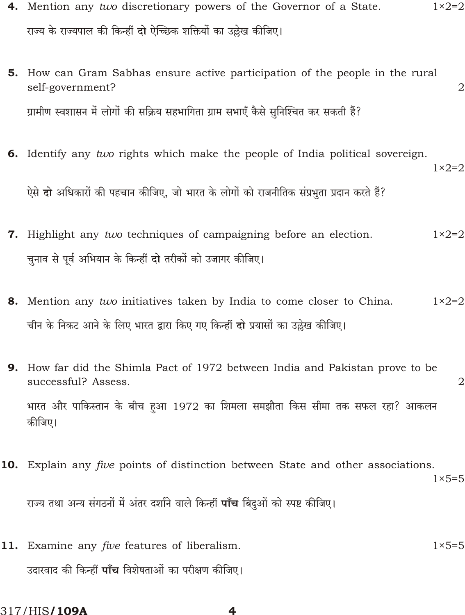| 4. Mention any two discretionary powers of the Governor of a State.                                         | $1 \times 2 = 2$ |
|-------------------------------------------------------------------------------------------------------------|------------------|
| राज्य के राज्यपाल की किन्हीं <b>दो</b> ऐच्छिक शक्तियों का उल्लेख कीजिए।                                     |                  |
| <b>5.</b> How can Gram Sabhas ensure active participation of the people in the rural<br>self-government?    | $\overline{2}$   |
| ग्रामीण स्वशासन में लोगों की सक्रिय सहभागिता ग्राम सभाएँ कैसे सुनिश्चित कर सकती हैं?                        |                  |
| 6. Identify any two rights which make the people of India political sovereign.                              | $1\times 2=2$    |
| ऐसे दो अधिकारों की पहचान कीजिए, जो भारत के लोगों को राजनीतिक संप्रभुता प्रदान करते हैं?                     |                  |
| 7. Highlight any two techniques of campaigning before an election.                                          | $1 \times 2 = 2$ |
| चुनाव से पूर्व अभियान के किन्हीं दो तरीकों को उजागर कीजिए।                                                  |                  |
| <b>8.</b> Mention any two initiatives taken by India to come closer to China.                               | $1 \times 2 = 2$ |
| चीन के निकट आने के लिए भारत द्वारा किए गए किन्हीं <b>दो</b> प्रयासों का उल्लेख कीजिए।                       |                  |
| <b>9.</b> How far did the Shimla Pact of 1972 between India and Pakistan prove to be<br>successful? Assess. | $\overline{2}$   |
| भारत और पाकिस्तान के बीच हुआ 1972 का शिमला समझौता किस सीमा तक सफल रहा? आकलन<br>कीजिए।                       |                  |
| 10. Explain any five points of distinction between State and other associations.                            | $1 \times 5 = 5$ |
| राज्य तथा अन्य संगठनों में अंतर दर्शाने वाले किन्हीं <b>पाँच</b> बिंदुओं को स्पष्ट कीजिए।                   |                  |
| 11. Examine any <i>five</i> features of liberalism.                                                         | $1 \times 5 = 5$ |
| उदारवाद की किन्हीं <b>पाँच</b> विशेषताओं का परीक्षण कीजिए।                                                  |                  |

317/HIS/109A

 $\overline{\mathbf{4}}$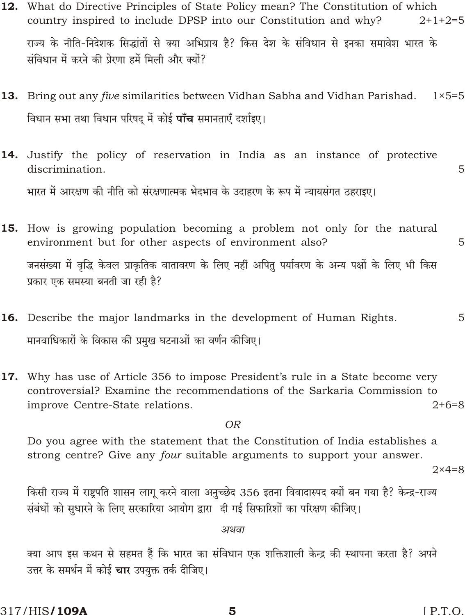|     | 317/HIS <b>/109A</b><br>[PT.0]<br>5                                                                                                                                                                    |   |
|-----|--------------------------------------------------------------------------------------------------------------------------------------------------------------------------------------------------------|---|
|     | क्या आप इस कथन से सहमत हैं कि भारत का संविधान एक शक्तिशाली केन्द्र की स्थापना करता है? अपने<br>उत्तर के समर्थन में कोई <b>चार</b> उपयुक्त तर्क दीजिए।                                                  |   |
|     | अथवा                                                                                                                                                                                                   |   |
|     | किसी राज्य में राष्ट्रपति शासन लागू करने वाला अनुच्छेद 356 इतना विवादास्पद क्यों बन गया है? केन्द्र-राज्य<br>संबंधों को सुधारने के लिए सरकारिया आयोग द्वारा  दी गई सिफारिशों का परिक्षण कीजिए।         |   |
|     | strong centre? Give any four suitable arguments to support your answer.<br>$2 \times 4 = 8$                                                                                                            |   |
|     | Do you agree with the statement that the Constitution of India establishes a                                                                                                                           |   |
|     | <b>OR</b>                                                                                                                                                                                              |   |
| 17. | Why has use of Article 356 to impose President's rule in a State become very<br>controversial? Examine the recommendations of the Sarkaria Commission to<br>$2+6=8$<br>improve Centre-State relations. |   |
|     | मानवाधिकारों के विकास की प्रमुख घटनाओं का वर्णन कीजिए।                                                                                                                                                 |   |
|     | <b>16.</b> Describe the major landmarks in the development of Human Rights.                                                                                                                            | 5 |
|     | जनसंख्या में वृद्धि केवल प्राकृतिक वातावरण के लिए नहीं अपितु पर्यावरण के अन्य पक्षों के लिए भी किस<br>प्रकार एक समस्या बनती जा रही है?                                                                 |   |
|     | environment but for other aspects of environment also?                                                                                                                                                 | 5 |
|     | 15. How is growing population becoming a problem not only for the natural                                                                                                                              |   |
|     | भारत में आरक्षण की नीति को संरक्षणात्मक भेदभाव के उदाहरण के रूप में न्यायसंगत ठहराइए।                                                                                                                  |   |
|     | <b>14.</b> Justify the policy of reservation in India as an instance of protective<br>discrimination.                                                                                                  | 5 |
|     | विधान सभा तथा विधान परिषद् में कोई <b>पाँच</b> समानताएँ दर्शाइए।                                                                                                                                       |   |
|     | $1 \times 5 = 5$<br>13. Bring out any <i>five</i> similarities between Vidhan Sabha and Vidhan Parishad.                                                                                               |   |
|     | संविधान में करने की प्रेरणा हमें मिली और क्यों?                                                                                                                                                        |   |
|     | राज्य के नीति-निदेशक सिद्धांतों से क्या अभिप्राय है? किस देश के संविधान से इनका समावेश भारत के                                                                                                         |   |
|     | <b>12.</b> What do Directive Principles of State Policy mean? The Constitution of which<br>country inspired to include DPSP into our Constitution and why?<br>$2+1+2=5$                                |   |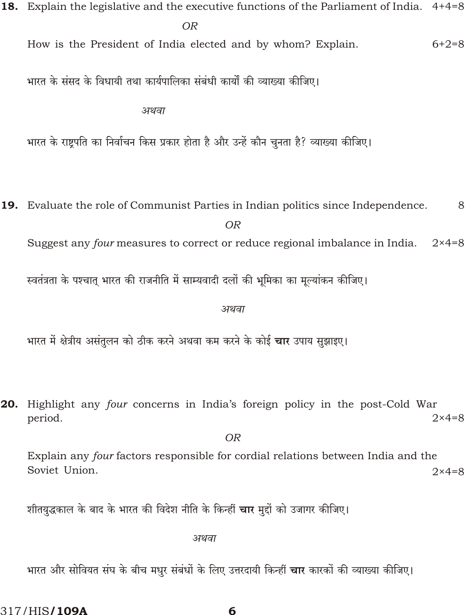- 18. Explain the legislative and the executive functions of the Parliament of India. 4+4=8  $\overline{OR}$ How is the President of India elected and by whom? Explain.  $6 + 2 = 8$ भारत के संसद के विधायी तथा कार्यपालिका संबंधी कार्यों की व्याख्या कीजिए। अथवा भारत के राष्ट्रपति का निर्वाचन किस प्रकार होता है और उन्हें कौन चुनता है? व्याख्या कीजिए।
- 19. Evaluate the role of Communist Parties in Indian politics since Independence. 8  $OR$

Suggest any four measures to correct or reduce regional imbalance in India.  $2 \times 4 = 8$ 

स्वतंत्रता के पश्चात् भारत की राजनीति में साम्यवादी दलों की भूमिका का मूल्यांकन कीजिए।

अथवा

भारत में क्षेत्रीय असंतलन को ठीक करने अथवा कम करने के कोई **चार** उपाय सझाइए।

20. Highlight any four concerns in India's foreign policy in the post-Cold War period.  $2 \times 4 = 8$ 

 $OR$ Explain any four factors responsible for cordial relations between India and the Soviet Union.  $2\times 4=8$ 

शीतयुद्धकाल के बाद के भारत की विदेश नीति के किन्हीं **चार** मुद्दों को उजागर कीजिए।

अथवा

भारत और सोवियत संघ के बीच मधर संबंधों के लिए उत्तरदायी किन्हीं **चार** कारकों की व्याख्या कीजिए।

317/HIS**/109A** 

6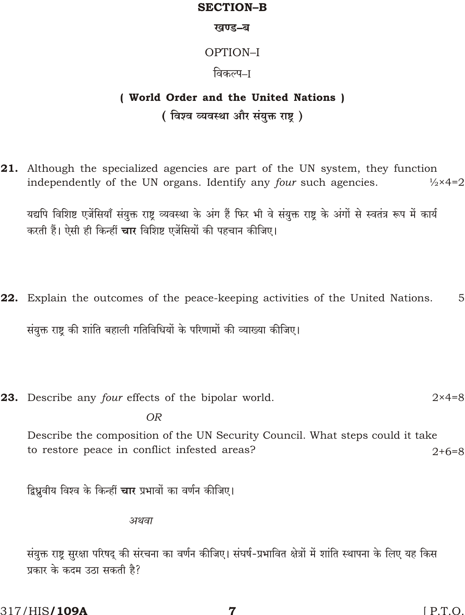### **SECTION-B**

#### खण्ड-ब

## OPTION-I

## विकल्प–ा

## ( World Order and the United Nations ) (विश्व व्यवस्था और संयुक्त राष्ट्र)

21. Although the specialized agencies are part of the UN system, they function independently of the UN organs. Identify any four such agencies.  $\frac{1}{2} \times 4 = 2$ 

यद्यपि विशिष्ट एजेंसियाँ संयुक्त राष्ट्र व्यवस्था के अंग हैं फिर भी वे संयुक्त राष्ट्र के अंगों से स्वतंत्र रूप में कार्य करती हैं। ऐसी ही किन्हीं **चार** विशिष्ट एजेंसियों की पहचान कीजिए।

- 22. Explain the outcomes of the peace-keeping activities of the United Nations. 5 संयुक्त राष्ट की शांति बहाली गतिविधियों के परिणामों की व्याख्या कीजिए।
- 23. Describe any four effects of the bipolar world.  $2 \times 4 = 8$

**OR** 

Describe the composition of the UN Security Council. What steps could it take to restore peace in conflict infested areas?  $2+6=8$ 

द्विध्नवीय विश्व के किन्हीं **चार** प्रभावों का वर्णन कीजिए।

अथवा

संयुक्त राष्ट्र सुरक्षा परिषद् की संरचना का वर्णन कीजिए। संघर्ष-प्रभावित क्षेत्रों में शांति स्थापना के लिए यह किस प्रकार के कदम उठा सकती है?